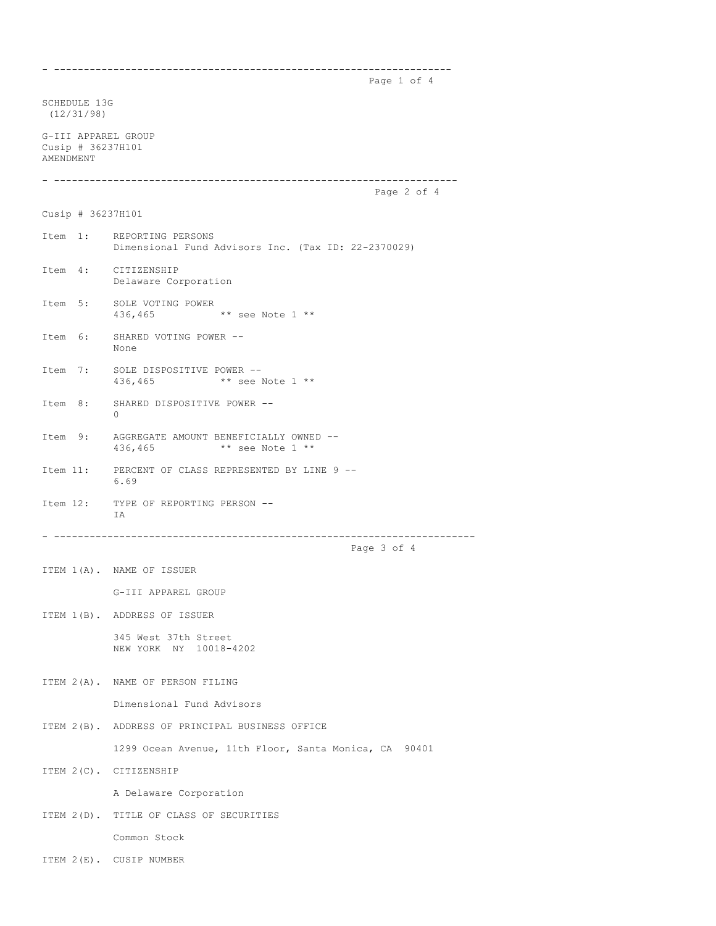Page 1 of 4

SCHEDULE 13G (12/31/98) G-III APPAREL GROUP Cusip # 36237H101 AMENDMENT - -------------------------------------------------------------------- Page 2 of 4 Cusip # 36237H101 Item 1: REPORTING PERSONS Dimensional Fund Advisors Inc. (Tax ID: 22-2370029) Item 4: CITIZENSHIP Delaware Corporation Item 5: SOLE VOTING POWER<br>436,465 \*\* see Note 1 \*\* Item 6: SHARED VOTING POWER -- None Item 7: SOLE DISPOSITIVE POWER -- 436,465 \*\* see Note 1 \*\* Item 8: SHARED DISPOSITIVE POWER --  $\Omega$ Item 9: AGGREGATE AMOUNT BENEFICIALLY OWNED -- 436,465 \*\* see Note 1 \*\* Item 11: PERCENT OF CLASS REPRESENTED BY LINE 9 -- 6.69 Item 12: TYPE OF REPORTING PERSON -- T A - ----------------------------------------------------------------------- Page 3 of 4 ITEM 1(A). NAME OF ISSUER G-III APPAREL GROUP ITEM 1(B). ADDRESS OF ISSUER 345 West 37th Street NEW YORK NY 10018-4202 ITEM 2(A). NAME OF PERSON FILING Dimensional Fund Advisors ITEM 2(B). ADDRESS OF PRINCIPAL BUSINESS OFFICE 1299 Ocean Avenue, 11th Floor, Santa Monica, CA 90401 ITEM 2(C). CITIZENSHIP A Delaware Corporation ITEM 2(D). TITLE OF CLASS OF SECURITIES Common Stock

- -------------------------------------------------------------------

ITEM 2(E). CUSIP NUMBER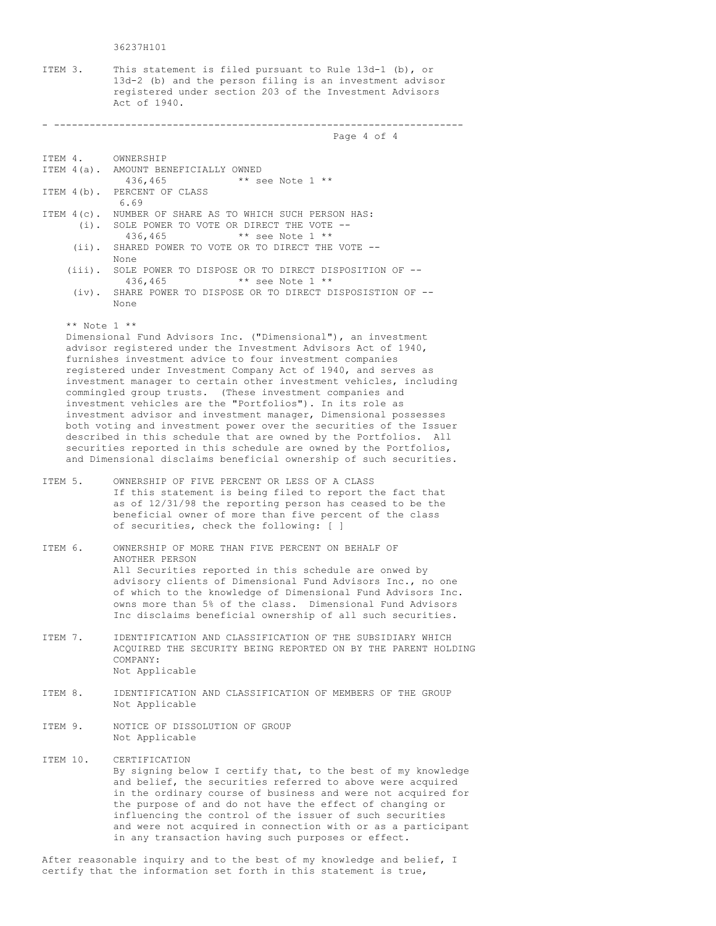36237H101

ITEM 3. This statement is filed pursuant to Rule 13d-1 (b), or 13d-2 (b) and the person filing is an investment advisor registered under section 203 of the Investment Advisors Act of 1940.

## - ---------------------------------------------------------------------

Page 4 of 4

ITEM 4. OWNERSHIP

- ITEM 4(a). AMOUNT BENEFICIALLY OWNED 436,465 \*\* see Note 1 \*\* ITEM 4(b). PERCENT OF CLASS 6.69 ITEM 4(c). NUMBER OF SHARE AS TO WHICH SUCH PERSON HAS: (i). SOLE POWER TO VOTE OR DIRECT THE VOTE -- 436,465 \*\* see Note 1 \*\* (ii). SHARED POWER TO VOTE OR TO DIRECT THE VOTE -- None (iii). SOLE POWER TO DISPOSE OR TO DIRECT DISPOSITION OF -- 436,465 \*\* see Note 1 \*\*
	- (iv). SHARE POWER TO DISPOSE OR TO DIRECT DISPOSISTION OF -- None

\*\* Note 1 \*\*

Dimensional Fund Advisors Inc. ("Dimensional"), an investment advisor registered under the Investment Advisors Act of 1940, furnishes investment advice to four investment companies registered under Investment Company Act of 1940, and serves as investment manager to certain other investment vehicles, including commingled group trusts. (These investment companies and investment vehicles are the "Portfolios"). In its role as investment advisor and investment manager, Dimensional possesses both voting and investment power over the securities of the Issuer described in this schedule that are owned by the Portfolios. All securities reported in this schedule are owned by the Portfolios, and Dimensional disclaims beneficial ownership of such securities.

- ITEM 5. OWNERSHIP OF FIVE PERCENT OR LESS OF A CLASS If this statement is being filed to report the fact that as of 12/31/98 the reporting person has ceased to be the beneficial owner of more than five percent of the class of securities, check the following: [ ]
- ITEM 6. OWNERSHIP OF MORE THAN FIVE PERCENT ON BEHALF OF ANOTHER PERSON All Securities reported in this schedule are onwed by advisory clients of Dimensional Fund Advisors Inc., no one of which to the knowledge of Dimensional Fund Advisors Inc. owns more than 5% of the class. Dimensional Fund Advisors Inc disclaims beneficial ownership of all such securities.
- ITEM 7. IDENTIFICATION AND CLASSIFICATION OF THE SUBSIDIARY WHICH ACQUIRED THE SECURITY BEING REPORTED ON BY THE PARENT HOLDING COMPANY: Not Applicable
- ITEM 8. IDENTIFICATION AND CLASSIFICATION OF MEMBERS OF THE GROUP Not Applicable
- ITEM 9. NOTICE OF DISSOLUTION OF GROUP Not Applicable
- ITEM 10. CERTIFICATION By signing below I certify that, to the best of my knowledge and belief, the securities referred to above were acquired in the ordinary course of business and were not acquired for the purpose of and do not have the effect of changing or influencing the control of the issuer of such securities and were not acquired in connection with or as a participant in any transaction having such purposes or effect.

After reasonable inquiry and to the best of my knowledge and belief, I certify that the information set forth in this statement is true,